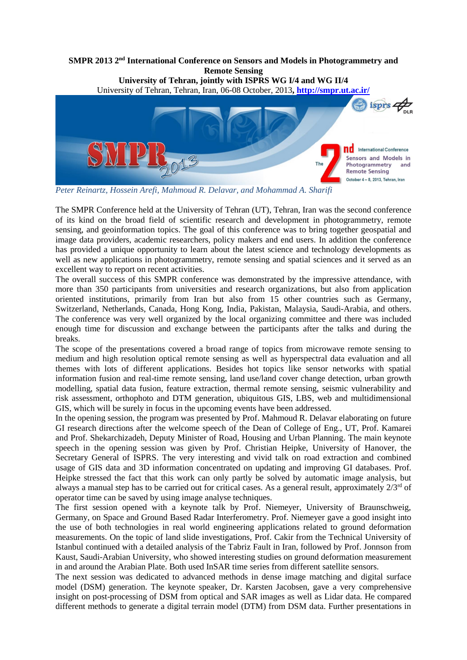

*Peter Reinartz, Hossein Arefi, Mahmoud R. Delavar, and Mohammad A. Sharifi*

The SMPR Conference held at the University of Tehran (UT), Tehran, Iran was the second conference of its kind on the broad field of scientific research and development in photogrammetry, remote sensing, and geoinformation topics. The goal of this conference was to bring together geospatial and image data providers, academic researchers, policy makers and end users. In addition the conference has provided a unique opportunity to learn about the latest science and technology developments as well as new applications in photogrammetry, remote sensing and spatial sciences and it served as an excellent way to report on recent activities.

The overall success of this SMPR conference was demonstrated by the impressive attendance, with more than 350 participants from universities and research organizations, but also from application oriented institutions, primarily from Iran but also from 15 other countries such as Germany, Switzerland, Netherlands, Canada, Hong Kong, India, Pakistan, Malaysia, Saudi-Arabia, and others. The conference was very well organized by the local organizing committee and there was included enough time for discussion and exchange between the participants after the talks and during the breaks.

The scope of the presentations covered a broad range of topics from microwave remote sensing to medium and high resolution optical remote sensing as well as hyperspectral data evaluation and all themes with lots of different applications. Besides hot topics like sensor networks with spatial information fusion and real-time remote sensing, land use/land cover change detection, urban growth modelling, spatial data fusion, feature extraction, thermal remote sensing, seismic vulnerability and risk assessment, orthophoto and DTM generation, ubiquitous GIS, LBS, web and multidimensional GIS, which will be surely in focus in the upcoming events have been addressed.

In the opening session, the program was presented by Prof. Mahmoud R. Delavar elaborating on future GI research directions after the welcome speech of the Dean of College of Eng., UT, Prof. Kamarei and Prof. Shekarchizadeh, Deputy Minister of Road, Housing and Urban Planning. The main keynote speech in the opening session was given by Prof. Christian Heipke, University of Hanover, the Secretary General of ISPRS. The very interesting and vivid talk on road extraction and combined usage of GIS data and 3D information concentrated on updating and improving GI databases. Prof. Heipke stressed the fact that this work can only partly be solved by automatic image analysis, but always a manual step has to be carried out for critical cases. As a general result, approximately 2/3rd of operator time can be saved by using image analyse techniques.

The first session opened with a keynote talk by Prof. Niemeyer, University of Braunschweig, Germany, on Space and Ground Based Radar Interferometry. Prof. Niemeyer gave a good insight into the use of both technologies in real world engineering applications related to ground deformation measurements. On the topic of land slide investigations, Prof. Cakir from the Technical University of Istanbul continued with a detailed analysis of the Tabriz Fault in Iran, followed by Prof. Jonnson from Kaust, Saudi-Arabian University, who showed interesting studies on ground deformation measurement in and around the Arabian Plate. Both used InSAR time series from different satellite sensors.

The next session was dedicated to advanced methods in dense image matching and digital surface model (DSM) generation. The keynote speaker, Dr. Karsten Jacobsen, gave a very comprehensive insight on post-processing of DSM from optical and SAR images as well as Lidar data. He compared different methods to generate a digital terrain model (DTM) from DSM data. Further presentations in